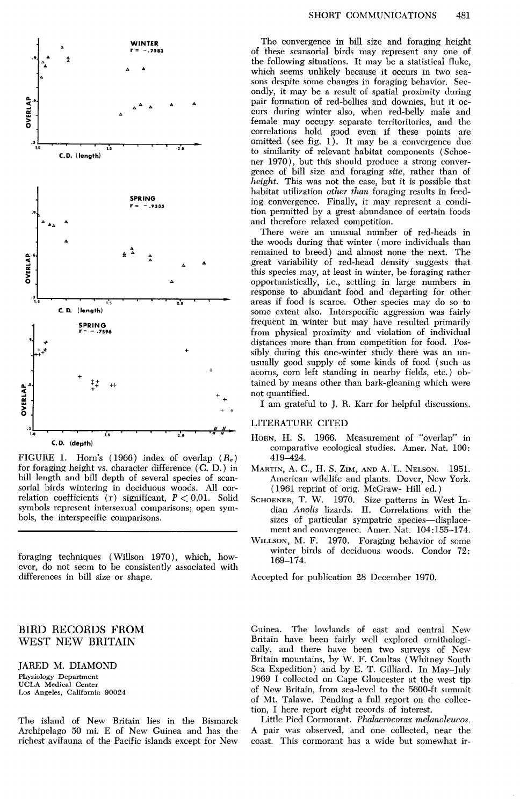

**FIGURE 1. Horn's (1966) index of overlap**  $(R_o)$ **for foraging height vs. character difference (C. D.) in bill length and bill depth of several species of scansorial birds wintering in deciduous woods. All correlation coefficients (r) significant, P < 0.01. Solid symbols represent intersexual comparisons; open symbols, the interspecific comparisons.** 

**foraging techniques ( Willson 1970), which, however, do not seem to be consistently associated with differences in bill size or shape.** 

# **BIRD RECORDS FROM WEST NEW BRITAIN**

**JARED M. DIAMOND**  Physiology Department

**UCLA Medical Center Los Angeles, California 90024** 

**Archipelago 50 mi. E of New Guinea and has the A pair was observed, and one collected, near the** 

**The convergence in bill size and foraging height of these scansorial birds may represent any one of the following situations. It may be a statistical fluke, which seems unlikely because it occurs in two seasons despite some changes in foraging behavior. Secondly, it may be a result of spatial proximity during pair formation of red-bellies and downies, but it occurs during winter also, when red-belly male and female may occupy separate territoritories, and the correlations hold good even if these points are omitted (see fig. 1). It may be a convergence due to similarity of relevant habitat components (Schoener 1970), but this should produce a strong convergence of bill size and foraging site, rather than of**  height. This was not the case, but it is possible that **habitat utilization other than foraging results in feeding convergence. Finally, it may represent a condition permitted by a great abundance of certain foods and therefore relaxed competition.** 

**There were an unusual number of red-heads in the woods during that winter (more individuals than remained to breed) and almost none the next. The great variability of red-head density suggests that this species may, at least in winter, be foraging rather opportunistically, i.e., settling in large numbers in response to abundant food and departing for other areas if food is scarce. Other species may do so to some extent also. Interspecific aggression was fairly frequent in winter but may have resulted primarily from physical proximity and violation of individual distances more than from competition for food. Possibly during this one-winter study there was an unusually good supply of some kinds of food (such as acorns, corn left standing in nearby fields, etc.) obtained by means other than bark-gleaning which were not quantified.** 

I am grateful to J. R. Karr for helpful discussions.

### **LITERATURE CITED**

- **HORN, H. S. 1966. Measurement of "overlap" in comparative ecological studies. Amer. Nat. 100: 419424.**
- **MARTIN, A. C., H. S. ZIM, AND A. L. NELSON. 1951. American wildlife and plants. Dover, New York. (1961 reprint of orig. McGraw- Hill ed.)**
- **SCHOENER, T. W. 1970. Size patterns in West In**dian *Anolis* lizards. **II.** Correlations with the **sizes of particular sympatric species-displacement and convergence. Amer. Nat. 104: 155-174.**
- **WILLSON, M. F. 1970. Foraging behavior of some winter birds of deciduous woods. Condor 72: 169-174.**

**Accepted for publication 28 December 1970.** 

**Guinea. The lowlands of east and central New Britain have been fairly well explored ornithologically, and there have been two surveys of New Britain mountains, by W. F. Coultas (Whitney South Sea Expedition) and by E. T. Gilliard. In May-July 1969 I collected on Cape Gloucester at the west tip of New Britain, from sea-level to the 5600-ft summit of Mt. Talawe. Pending a full report on the collection, I here report eight records of interest.** 

**The island of New Britain lies in the Bismarck Little Pied Cormorant. Phalacrocorax melanoleucos. richest avifauna of the Pacific islands except for New coast. This cormorant has a wide but somewhat ir-**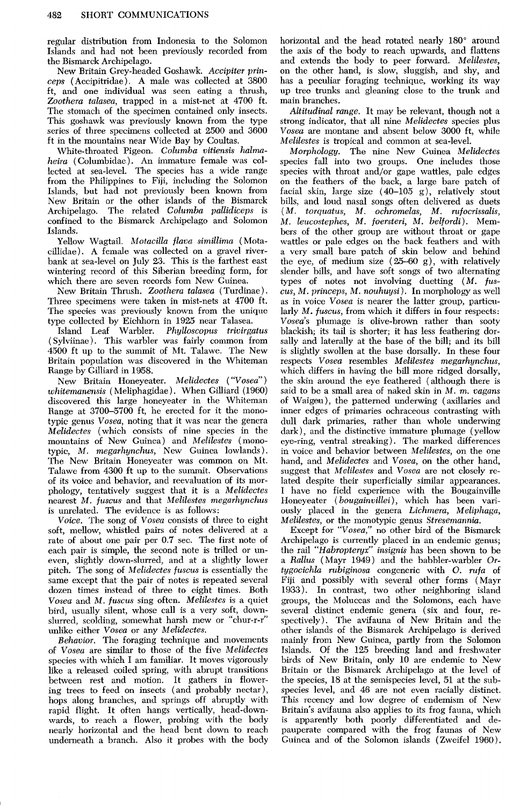**regular distribution from Indonesia to the Solomon Islands and had not been previously recorded from the Bismarck Archipelago.** 

**New Britain Grey-headed Goshawk. Accipiter princeps (Accipitridae). A male was collected at 3800 ft, and one individual was seen eating a thrush,**  Zoothera talasea, trapped in a mist-net at 4700 ft. **The stomach of the specimen contained only insects.**  This goshawk was previously known from the type **series of three specimens collected at 2500 and 3600 ft in the mountains near Wide Bay by Coultas.** 

**White-throated Pigeon. Columba vitiensis halmaheira (Columbidae). An immature female was collected at sea-level. The species has a wide range from the Philippines to Fiji, including the Solomon Islands, but had not previously been known from New Britain or the other islands of the Bismarck**  Archipelago. The related Columba pallidiceps is **confined to the Bismarck Archipelago and Solomon Islands.** 

**Yellow Wagtail. Motacilla flava simillima (Motacillidae). A female was collected on a gravel riverbank at sea-level on July 23. This is the farthest east**  wintering record of this Siberian breeding form, for **which there are seven records fom New Guinea.** 

**New Britain Thrush. Zoothera talasea (Turdinae). Three specimens were taken in mist-nets at 4700 ft.**  The species was previously known from the unique type collected by Eichhorn in 1925 near Talasea.

**\_ \*Island Leaf . Warbler. Phylloscopus trivirgatus (Sylviinae). This warbler was fairly common from 4500 ft up to the summit of Mt. Talawe. The New Britain population was discovered in the Whiteman Range by Gilliard in 1958.** 

New Britain Honeyeater. Melidectes ("Vosea") whitemanensis (Meliphagidae). When Gilliard (1960) **discovered this large honeyeater in the Whiteman**  Range at 3700–5700 ft, he erected for it the mono**typic genus Vosea, noting that it was near the genera Melidectes (which consists of nine species in the mountains of New Guinea) and Melilestes (monotypic, M. megarhynchus, New Guinea lowlands). The New Britain Honeyeater was common on Mt. Talawe from 4300 ft up to the summit. Observations of its voice and behavior, and reevaluation of its morphology, tentatively suggest that it is a Melidectes nearest M. fuscus and that Melilestes megarhynchus is unrelated. The evidence is as follows:** 

**Voice. The song of Vosea consists of three to eight soft, mellow, whistled pairs of notes delivered at a**  rate of about one pair per 0.7 sec. The first note of **each pair is simple, the second note is trilled or uneven, slightly down-slurred, and at a slightly lower pitch. The song of Melidectes fuscus is essentially the same except that the pair of notes is repeated several dozen times instead of three to eight times. Both**  Vosea and M. fuscus sing often. Melilestes is a quiet **bird, usually silent, whose call is a very soft, down**slurred, scolding, somewhat harsh mew or "chur-r-r" **unlike either Vosea or any Melidectes.** 

**Behavior. The foraging technique and movements of Vosea are similar to those of the five Melidectes species with which I am familiar. It moves vigorously like a released coiled spring, with abrupt transitioas between rest and motion. It gathers in flowering trees to feed on insects (and probably nectar), hops along branches, and springs off abruptly with rapid flight. It often hangs vertically, head-downwards, to reach a flower, probing with the body nearly horizontal and the head bent down to reach pauperate compared with the frog faunas of New underneath a branch. Also it probes with the body Guinea and of the Solomon islands (Zweifel 1960).** 

horizontal and the head rotated nearly 180° around **the axis of the body to reach upwards, and flattens and extends the body to peer forward. Melilestes, on the other hand, is slow, sluggish, and shy, and**  has a peculiar foraging technique, working its way **up tree trunks and gleaning close to the trunk and main branches.** 

**Altitudind range. It may be relevant, though not a strong indicator, that all nine Melidectes species plus Vosea are montane and absent below 3000 ft, while Melilestes is tropical and common at sea-level.** 

Morphology. The nine New Guinea Melidectes species fall into two groups. One includes those **species with throat and/or gape wattles, pale edges on the feathers of the back, a large bare patch of facial skin, large size (40-105 g), relatively stoat bills, and loud nasal songs often delivered as duets (M. torquatus, M. ochromelas, M. rufocrissalis, M. leucostephes, M. foersteri, M. belfordi). Members of the other group are without throat or gape wattles or pale edges on the back feathers and with a very small bare patch of skin below and behind the eye, of medium size (25-60 g), with relatively slender bills, and have soft songs of two alternating types of notes not involving duetting (M. fuscus, M. princeps, M. nouhuysi). In morphology as well as in voice Vosea is nearer the latter group, particu**larly *M. fuscus*, from which it differs in four respects: Vosea's plumage is olive-brown rather than sooty **blackish; its tail is shorter; it has less feathering dorsally and laterally at the base of the bill; and its bill**  is slightly swollen at the base dorsally. In these four **respects Vosea resembles Melilestes megarhynchus, which differs in having the bill more ridged dorsally, the skin around the eye feathered (although there is said to be a small area of naked skin in M. m. vagans of Waigeu ), the patterned underwing ( axillaries and inner edges of primaries ochraceous contrasting with dull dark primaries, rather than whole underwing dark), and the distinctive immature plumage (yellow eye-ring, ventral streaking). The marked differences in voice and behavior between Melilestes, on the one hand, and Melidectes and Vosea, on the other hand, suggest that Melilestes and Vosea are not closely related despite their superficially similar appearances. I have no field experience with the Bougainville Honeyeater ( bougainvillei), which has been variously placed in the genera Lichmera, Meliphaga, Melilestes, or the monotypic genus Stresemannia.** 

**Except for "Vosea," no other bird of the Bismarck Archipelago is currently placed in an endemic genus; the rail "Habropteryx" insignis has been shown to be**  a Rallus (Mayr 1949) and the babbler-warbler Or**tygocichlu rubiginosa congeneric with 0. rufa of Fiji and possibly with several other forms (Mayr 19383). In contrast, two other neighboring island groaps, the Moluccas and the Solomons, each have several distinct endemic genera (six and four, respectively). The avifauna of New Britain and the other islands of the Bismarck Archipelago is derived mainly from New Guinea, partly from the Solomon Islands. Of the 125 breeding land and freshwater birds of New Britain, only 10 are endemic to New Britain or the Bismarck Archipelago at the level of the species, 18 at the semispecies level, 51 at the subspecies level, and 46 are not even racially distinct. This recency and low degree of endemism of New**  Britain's avifauna also applies to its frog fauna, which **is apparently both poorly differentiated and de-**